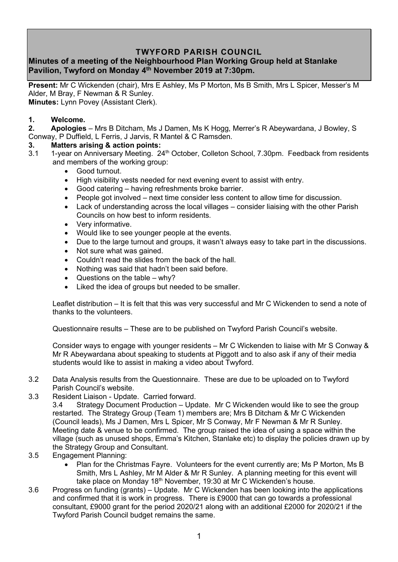## **TWYFORD PARISH COUNCIL**

## **Minutes of a meeting of the Neighbourhood Plan Working Group held at Stanlake Pavilion, Twyford on Monday 4 th November 2019 at 7:30pm.**

**Present:** Mr C Wickenden (chair), Mrs E Ashley, Ms P Morton, Ms B Smith, Mrs L Spicer, Messer's M Alder, M Bray, F Newman & R Sunley. **Minutes:** Lynn Povey (Assistant Clerk).

## **1. Welcome.**

**2. Apologies** – Mrs B Ditcham, Ms J Damen, Ms K Hogg, Merrer's R Abeywardana, J Bowley, S Conway, P Duffield, L Ferris, J Jarvis, R Mantel & C Ramsden.

## **3. Matters arising & action points:**

- 3.1 1-year on Anniversary Meeting. 24<sup>th</sup> October, Colleton School, 7.30pm. Feedback from residents and members of the working group:
	- Good turnout.
	- High visibility vests needed for next evening event to assist with entry.
	- Good catering having refreshments broke barrier.
	- People got involved next time consider less content to allow time for discussion.
	- Lack of understanding across the local villages consider liaising with the other Parish Councils on how best to inform residents.
	- Very informative.
	- Would like to see younger people at the events.
	- Due to the large turnout and groups, it wasn't always easy to take part in the discussions.
	- Not sure what was gained.
	- Couldn't read the slides from the back of the hall.
	- Nothing was said that hadn't been said before.
	- Questions on the table why?
	- Liked the idea of groups but needed to be smaller.

Leaflet distribution – It is felt that this was very successful and Mr C Wickenden to send a note of thanks to the volunteers.

Questionnaire results – These are to be published on Twyford Parish Council's website.

Consider ways to engage with younger residents – Mr C Wickenden to liaise with Mr S Conway & Mr R Abeywardana about speaking to students at Piggott and to also ask if any of their media students would like to assist in making a video about Twyford.

- 3.2 Data Analysis results from the Questionnaire. These are due to be uploaded on to Twyford Parish Council's website.
- 3.3 Resident Liaison Update. Carried forward.
	- 3.4 Strategy Document Production Update. Mr C Wickenden would like to see the group restarted. The Strategy Group (Team 1) members are; Mrs B Ditcham & Mr C Wickenden (Council leads), Ms J Damen, Mrs L Spicer, Mr S Conway, Mr F Newman & Mr R Sunley. Meeting date & venue to be confirmed. The group raised the idea of using a space within the village (such as unused shops, Emma's Kitchen, Stanlake etc) to display the policies drawn up by the Strategy Group and Consultant.
- 3.5 Engagement Planning:
	- Plan for the Christmas Fayre. Volunteers for the event currently are; Ms P Morton, Ms B Smith, Mrs L Ashley, Mr M Alder & Mr R Sunley. A planning meeting for this event will take place on Monday 18<sup>th</sup> November, 19:30 at Mr C Wickenden's house.
- 3.6 Progress on funding (grants) Update. Mr C Wickenden has been looking into the applications and confirmed that it is work in progress. There is £9000 that can go towards a professional consultant, £9000 grant for the period 2020/21 along with an additional £2000 for 2020/21 if the Twyford Parish Council budget remains the same.